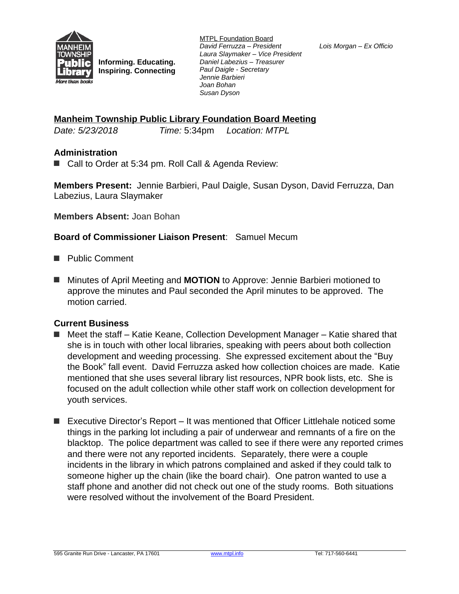

**Informing. Educating. Inspiring. Connecting** MTPL Foundation Board *David Ferruzza – President Laura Slaymaker – Vice President Daniel Labezius – Treasurer Paul Daigle - Secretary Jennie Barbieri Joan Bohan Susan Dyson*

*Lois Morgan – Ex Officio*

## **Manheim Township Public Library Foundation Board Meeting**

*Date: 5/23/2018 Time:* 5:34pm *Location: MTPL*

### **Administration**

■ Call to Order at 5:34 pm. Roll Call & Agenda Review:

**Members Present:** Jennie Barbieri, Paul Daigle, Susan Dyson, David Ferruzza, Dan Labezius, Laura Slaymaker

### **Members Absent:** Joan Bohan

### **Board of Commissioner Liaison Present**: Samuel Mecum

- Public Comment
- Minutes of April Meeting and **MOTION** to Approve: Jennie Barbieri motioned to approve the minutes and Paul seconded the April minutes to be approved. The motion carried.

### **Current Business**

- Meet the staff Katie Keane, Collection Development Manager Katie shared that she is in touch with other local libraries, speaking with peers about both collection development and weeding processing. She expressed excitement about the "Buy the Book" fall event. David Ferruzza asked how collection choices are made. Katie mentioned that she uses several library list resources, NPR book lists, etc. She is focused on the adult collection while other staff work on collection development for youth services.
- Executive Director's Report It was mentioned that Officer Littlehale noticed some things in the parking lot including a pair of underwear and remnants of a fire on the blacktop. The police department was called to see if there were any reported crimes and there were not any reported incidents. Separately, there were a couple incidents in the library in which patrons complained and asked if they could talk to someone higher up the chain (like the board chair). One patron wanted to use a staff phone and another did not check out one of the study rooms. Both situations were resolved without the involvement of the Board President.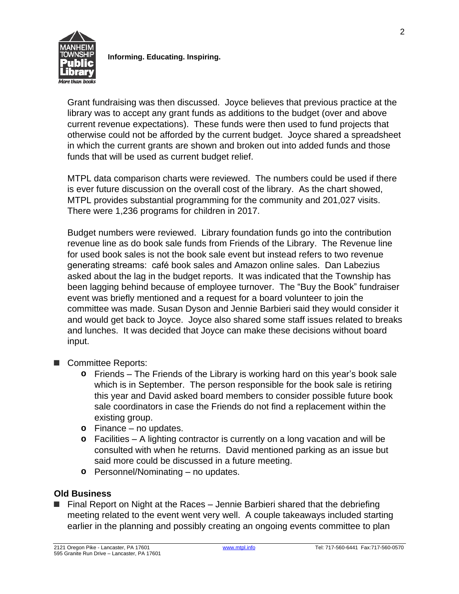

**Informing. Educating. Inspiring.**

Grant fundraising was then discussed. Joyce believes that previous practice at the library was to accept any grant funds as additions to the budget (over and above current revenue expectations). These funds were then used to fund projects that otherwise could not be afforded by the current budget. Joyce shared a spreadsheet in which the current grants are shown and broken out into added funds and those funds that will be used as current budget relief.

MTPL data comparison charts were reviewed. The numbers could be used if there is ever future discussion on the overall cost of the library. As the chart showed, MTPL provides substantial programming for the community and 201,027 visits. There were 1,236 programs for children in 2017.

Budget numbers were reviewed. Library foundation funds go into the contribution revenue line as do book sale funds from Friends of the Library. The Revenue line for used book sales is not the book sale event but instead refers to two revenue generating streams: café book sales and Amazon online sales. Dan Labezius asked about the lag in the budget reports. It was indicated that the Township has been lagging behind because of employee turnover. The "Buy the Book" fundraiser event was briefly mentioned and a request for a board volunteer to join the committee was made. Susan Dyson and Jennie Barbieri said they would consider it and would get back to Joyce. Joyce also shared some staff issues related to breaks and lunches. It was decided that Joyce can make these decisions without board input.

- Committee Reports:
	- **o** Friends The Friends of the Library is working hard on this year's book sale which is in September. The person responsible for the book sale is retiring this year and David asked board members to consider possible future book sale coordinators in case the Friends do not find a replacement within the existing group.
	- **o** Finance no updates.
	- **o** Facilities A lighting contractor is currently on a long vacation and will be consulted with when he returns. David mentioned parking as an issue but said more could be discussed in a future meeting.
	- **o** Personnel/Nominating no updates.

# **Old Business**

■ Final Report on Night at the Races – Jennie Barbieri shared that the debriefing meeting related to the event went very well. A couple takeaways included starting earlier in the planning and possibly creating an ongoing events committee to plan